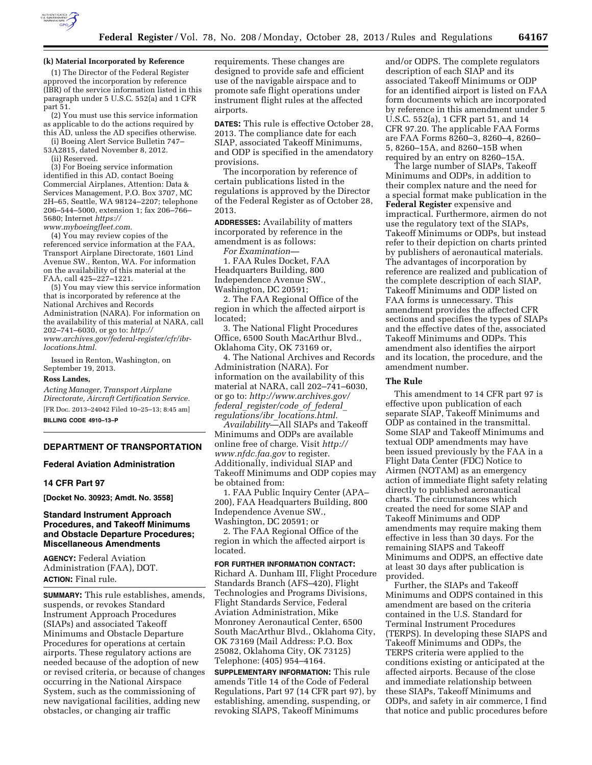

### **(k) Material Incorporated by Reference**

(1) The Director of the Federal Register approved the incorporation by reference (IBR) of the service information listed in this paragraph under 5 U.S.C. 552(a) and 1 CFR part 51.

(2) You must use this service information as applicable to do the actions required by this AD, unless the AD specifies otherwise.

(i) Boeing Alert Service Bulletin 747– 53A2815, dated November 8, 2012.

(ii) Reserved.

(3) For Boeing service information identified in this AD, contact Boeing Commercial Airplanes, Attention: Data & Services Management, P.O. Box 3707, MC 2H–65, Seattle, WA 98124–2207; telephone 206–544–5000, extension 1; fax 206–766– 5680; Internet *[https://](https://www.myboeingfleet.com) [www.myboeingfleet.com](https://www.myboeingfleet.com)*.

(4) You may review copies of the referenced service information at the FAA, Transport Airplane Directorate, 1601 Lind Avenue SW., Renton, WA. For information on the availability of this material at the FAA, call 425–227–1221.

(5) You may view this service information that is incorporated by reference at the National Archives and Records Administration (NARA). For information on the availability of this material at NARA, call 202–741–6030, or go to: *[http://](http://www.archives.gov/federal-register/cfr/ibr-locations.html) [www.archives.gov/federal-register/cfr/ibr](http://www.archives.gov/federal-register/cfr/ibr-locations.html)[locations.html.](http://www.archives.gov/federal-register/cfr/ibr-locations.html)* 

Issued in Renton, Washington, on September 19, 2013.

#### **Ross Landes,**

*Acting Manager, Transport Airplane Directorate, Aircraft Certification Service.*  [FR Doc. 2013–24042 Filed 10–25–13; 8:45 am] **BILLING CODE 4910–13–P** 

# **DEPARTMENT OF TRANSPORTATION**

### **Federal Aviation Administration**

#### **14 CFR Part 97**

**[Docket No. 30923; Amdt. No. 3558]** 

## **Standard Instrument Approach Procedures, and Takeoff Minimums and Obstacle Departure Procedures; Miscellaneous Amendments**

**AGENCY:** Federal Aviation Administration (FAA), DOT. **ACTION:** Final rule.

**SUMMARY:** This rule establishes, amends, suspends, or revokes Standard Instrument Approach Procedures (SIAPs) and associated Takeoff Minimums and Obstacle Departure Procedures for operations at certain airports. These regulatory actions are needed because of the adoption of new or revised criteria, or because of changes occurring in the National Airspace System, such as the commissioning of new navigational facilities, adding new obstacles, or changing air traffic

requirements. These changes are designed to provide safe and efficient use of the navigable airspace and to promote safe flight operations under instrument flight rules at the affected airports.

**DATES:** This rule is effective October 28, 2013. The compliance date for each SIAP, associated Takeoff Minimums, and ODP is specified in the amendatory provisions.

The incorporation by reference of certain publications listed in the regulations is approved by the Director of the Federal Register as of October 28, 2013.

**ADDRESSES:** Availability of matters incorporated by reference in the amendment is as follows:

*For Examination—*  1. FAA Rules Docket, FAA Headquarters Building, 800 Independence Avenue SW., Washington, DC 20591;

2. The FAA Regional Office of the region in which the affected airport is located;

3. The National Flight Procedures Office, 6500 South MacArthur Blvd., Oklahoma City, OK 73169 or,

4. The National Archives and Records Administration (NARA). For information on the availability of this material at NARA, call 202–741–6030, or go to: *[http://www.archives.gov/](http://www.archives.gov/federal_register/code_of_federal_regulations/ibr_locations.html.) federal*\_*[register/code](http://www.archives.gov/federal_register/code_of_federal_regulations/ibr_locations.html.)*\_*of*\_*federal*\_ *[regulations/ibr](http://www.archives.gov/federal_register/code_of_federal_regulations/ibr_locations.html.)*\_*locations.html*.

*Availability*—All SIAPs and Takeoff Minimums and ODPs are available online free of charge. Visit *[http://](http://www.nfdc.faa.gov) [www.nfdc.faa.gov](http://www.nfdc.faa.gov)* to register. Additionally, individual SIAP and Takeoff Minimums and ODP copies may be obtained from:

1. FAA Public Inquiry Center (APA– 200), FAA Headquarters Building, 800 Independence Avenue SW., Washington, DC 20591; or

2. The FAA Regional Office of the region in which the affected airport is located.

**FOR FURTHER INFORMATION CONTACT:**  Richard A. Dunham III, Flight Procedure Standards Branch (AFS–420), Flight Technologies and Programs Divisions, Flight Standards Service, Federal Aviation Administration, Mike Monroney Aeronautical Center, 6500 South MacArthur Blvd., Oklahoma City, OK 73169 (Mail Address: P.O. Box 25082, Oklahoma City, OK 73125) Telephone: (405) 954–4164.

**SUPPLEMENTARY INFORMATION:** This rule amends Title 14 of the Code of Federal Regulations, Part 97 (14 CFR part 97), by establishing, amending, suspending, or revoking SIAPS, Takeoff Minimums

and/or ODPS. The complete regulators description of each SIAP and its associated Takeoff Minimums or ODP for an identified airport is listed on FAA form documents which are incorporated by reference in this amendment under 5 U.S.C. 552(a), 1 CFR part 51, and 14 CFR 97.20. The applicable FAA Forms are FAA Forms 8260–3, 8260–4, 8260– 5, 8260–15A, and 8260–15B when required by an entry on 8260–15A.

The large number of SIAPs, Takeoff Minimums and ODPs, in addition to their complex nature and the need for a special format make publication in the **Federal Register** expensive and impractical. Furthermore, airmen do not use the regulatory text of the SIAPs, Takeoff Minimums or ODPs, but instead refer to their depiction on charts printed by publishers of aeronautical materials. The advantages of incorporation by reference are realized and publication of the complete description of each SIAP, Takeoff Minimums and ODP listed on FAA forms is unnecessary. This amendment provides the affected CFR sections and specifies the types of SIAPs and the effective dates of the, associated Takeoff Minimums and ODPs. This amendment also identifies the airport and its location, the procedure, and the amendment number.

#### **The Rule**

This amendment to 14 CFR part 97 is effective upon publication of each separate SIAP, Takeoff Minimums and ODP as contained in the transmittal. Some SIAP and Takeoff Minimums and textual ODP amendments may have been issued previously by the FAA in a Flight Data Center (FDC) Notice to Airmen (NOTAM) as an emergency action of immediate flight safety relating directly to published aeronautical charts. The circumstances which created the need for some SIAP and Takeoff Minimums and ODP amendments may require making them effective in less than 30 days. For the remaining SIAPS and Takeoff Minimums and ODPS, an effective date at least 30 days after publication is provided.

Further, the SIAPs and Takeoff Minimums and ODPS contained in this amendment are based on the criteria contained in the U.S. Standard for Terminal Instrument Procedures (TERPS). In developing these SIAPS and Takeoff Minimums and ODPs, the TERPS criteria were applied to the conditions existing or anticipated at the affected airports. Because of the close and immediate relationship between these SIAPs, Takeoff Minimums and ODPs, and safety in air commerce, I find that notice and public procedures before